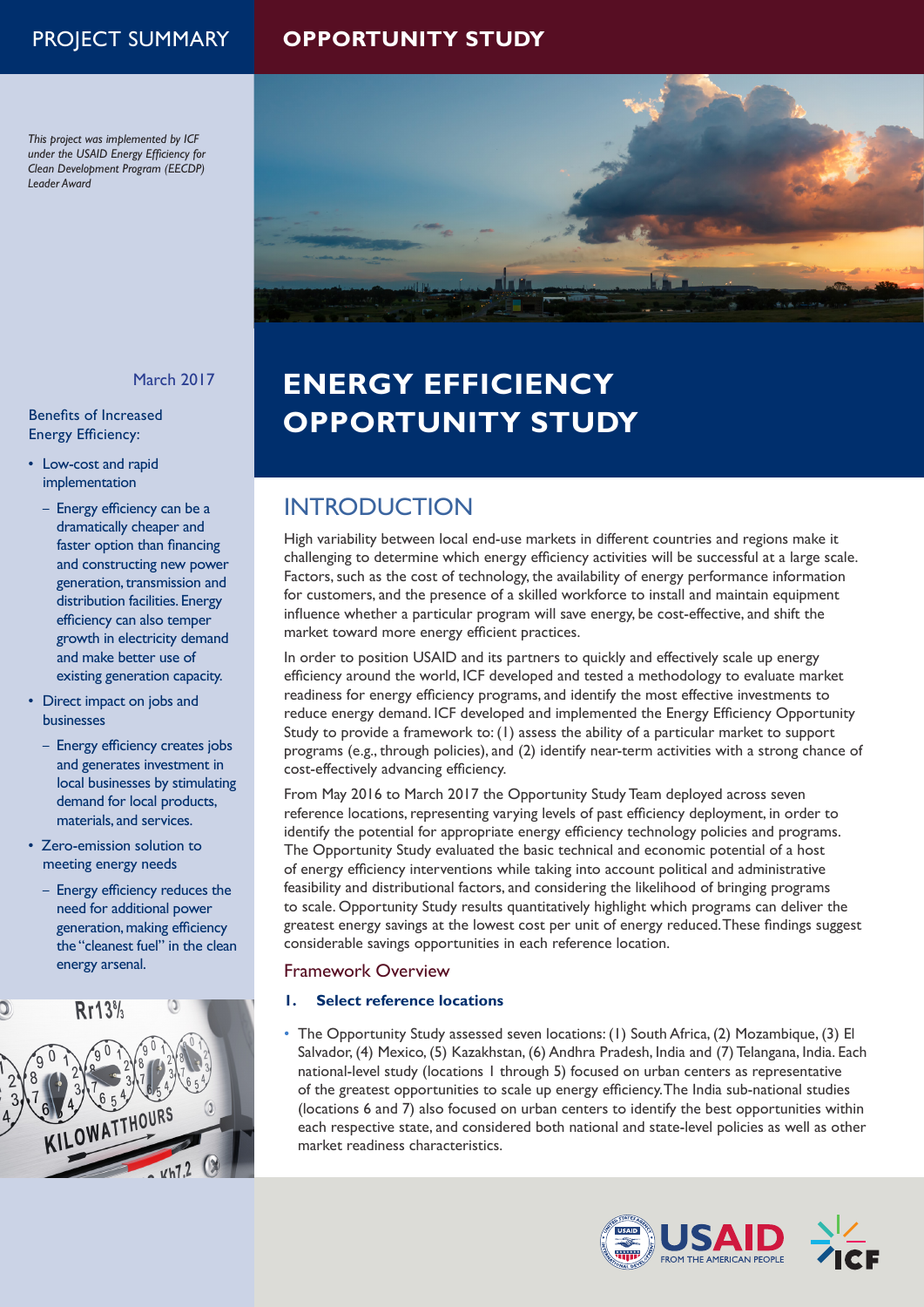## PROJECT SUMMARY **OPPORTUNITY STUDY**

*This project was implemented by ICF under the USAID Energy Efficiency for Clean Development Program (EECDP) Leader Award*



### March 2017

### Benefits of Increased Energy Efficiency:

- Low-cost and rapid implementation
	- Energy efficiency can be a dramatically cheaper and faster option than financing and constructing new power generation, transmission and distribution facilities. Energy efficiency can also temper growth in electricity demand and make better use of existing generation capacity.
- Direct impact on jobs and businesses
	- Energy efficiency creates jobs and generates investment in local businesses by stimulating demand for local products, materials, and services.
- Zero-emission solution to meeting energy needs
	- Energy efficiency reduces the need for additional power generation, making efficiency the "cleanest fuel" in the clean energy arsenal.



# **ENERGY EFFICIENCY OPPORTUNITY STUDY**

## **INTRODUCTION**

High variability between local end-use markets in different countries and regions make it challenging to determine which energy efficiency activities will be successful at a large scale. Factors, such as the cost of technology, the availability of energy performance information for customers, and the presence of a skilled workforce to install and maintain equipment influence whether a particular program will save energy, be cost-effective, and shift the market toward more energy efficient practices.

In order to position USAID and its partners to quickly and effectively scale up energy efficiency around the world, ICF developed and tested a methodology to evaluate market readiness for energy efficiency programs, and identify the most effective investments to reduce energy demand. ICF developed and implemented the Energy Efficiency Opportunity Study to provide a framework to: (1) assess the ability of a particular market to support programs (e.g., through policies), and (2) identify near-term activities with a strong chance of cost-effectively advancing efficiency.

From May 2016 to March 2017 the Opportunity Study Team deployed across seven reference locations, representing varying levels of past efficiency deployment, in order to identify the potential for appropriate energy efficiency technology policies and programs. The Opportunity Study evaluated the basic technical and economic potential of a host of energy efficiency interventions while taking into account political and administrative feasibility and distributional factors, and considering the likelihood of bringing programs to scale. Opportunity Study results quantitatively highlight which programs can deliver the greatest energy savings at the lowest cost per unit of energy reduced. These findings suggest considerable savings opportunities in each reference location.

## Framework Overview

### **1. Select reference locations**

• The Opportunity Study assessed seven locations: (1) South Africa, (2) Mozambique, (3) El Salvador, (4) Mexico, (5) Kazakhstan, (6) Andhra Pradesh, India and (7) Telangana, India. Each national-level study (locations 1 through 5) focused on urban centers as representative of the greatest opportunities to scale up energy efficiency. The India sub-national studies (locations 6 and 7) also focused on urban centers to identify the best opportunities within each respective state, and considered both national and state-level policies as well as other market readiness characteristics.

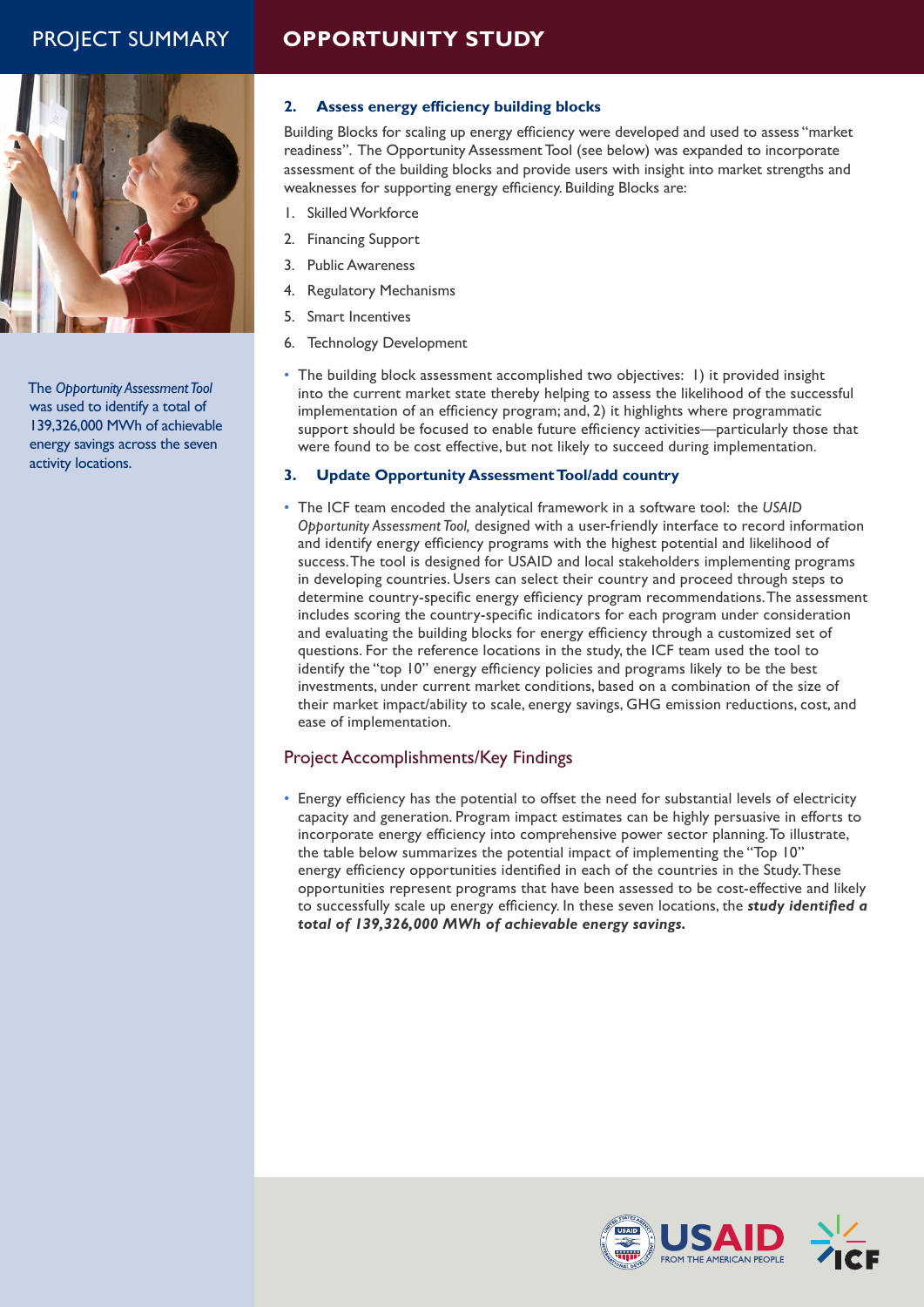## PROJECT SUMMARY **OPPORTUNITY STUDY**



The *Opportunity Assessment Tool* was used to identify a total of 139,326,000 MWh of achievable energy savings across the seven activity locations.

## **2. Assess energy efficiency building blocks**

Building Blocks for scaling up energy efficiency were developed and used to assess "market readiness". The Opportunity Assessment Tool (see below) was expanded to incorporate assessment of the building blocks and provide users with insight into market strengths and weaknesses for supporting energy efficiency. Building Blocks are:

- 1. Skilled Workforce
- 2. Financing Support
- 3. Public Awareness
- 4. Regulatory Mechanisms
- 5. Smart Incentives
- 6. Technology Development
- The building block assessment accomplished two objectives: 1) it provided insight into the current market state thereby helping to assess the likelihood of the successful implementation of an efficiency program; and, 2) it highlights where programmatic support should be focused to enable future efficiency activities—particularly those that were found to be cost effective, but not likely to succeed during implementation.

### **3. Update Opportunity Assessment Tool/add country**

• The ICF team encoded the analytical framework in a software tool: the *USAID Opportunity Assessment Tool,* designed with a user-friendly interface to record information and identify energy efficiency programs with the highest potential and likelihood of success. The tool is designed for USAID and local stakeholders implementing programs in developing countries. Users can select their country and proceed through steps to determine country-specific energy efficiency program recommendations. The assessment includes scoring the country-specific indicators for each program under consideration and evaluating the building blocks for energy efficiency through a customized set of questions. For the reference locations in the study, the ICF team used the tool to identify the "top 10" energy efficiency policies and programs likely to be the best investments, under current market conditions, based on a combination of the size of their market impact/ability to scale, energy savings, GHG emission reductions, cost, and ease of implementation.

## Project Accomplishments/Key Findings

• Energy efficiency has the potential to offset the need for substantial levels of electricity capacity and generation. Program impact estimates can be highly persuasive in efforts to incorporate energy efficiency into comprehensive power sector planning. To illustrate, the table below summarizes the potential impact of implementing the "Top 10" energy efficiency opportunities identified in each of the countries in the Study. These opportunities represent programs that have been assessed to be cost-effective and likely to successfully scale up energy efficiency. In these seven locations, the *study identified a total of 139,326,000 MWh of achievable energy savings.*